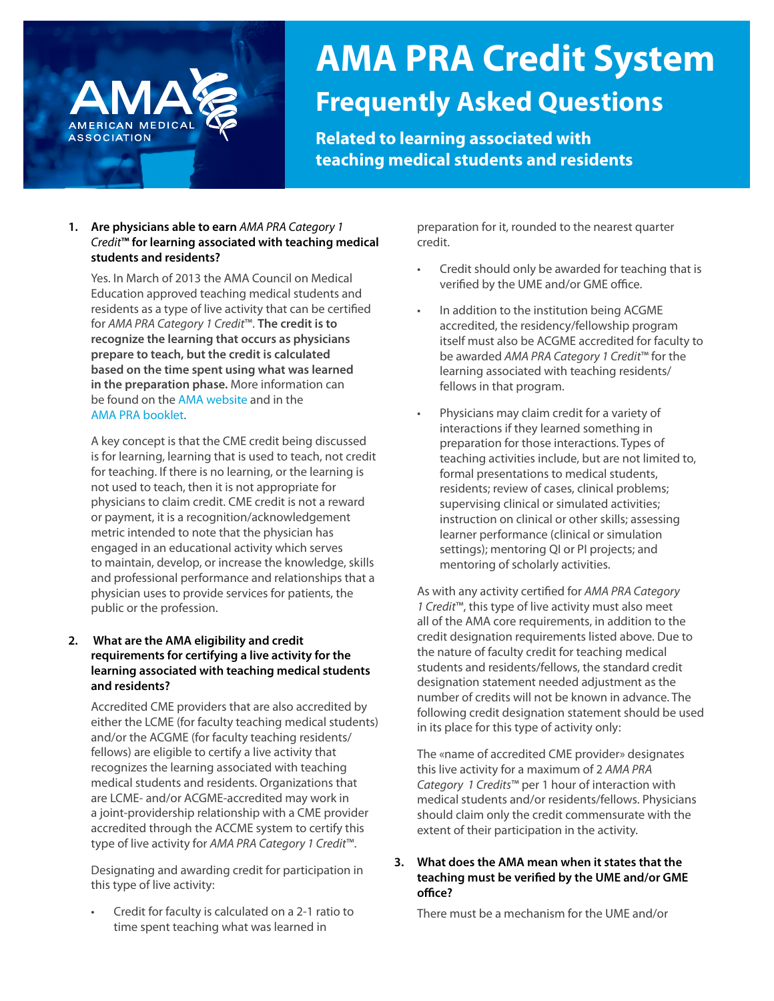# AMERICAN MEDICA **ASSOCIATION**

# **AMA PRA Credit System Frequently Asked Questions**

**Related to learning associated with** 

**teaching medical students and residents**

# **1. Are physicians able to earn** *AMA PRA Category 1 Credit***™ for learning associated with teaching medical students and residents?**

Yes. In March of 2013 the AMA Council on Medical Education approved teaching medical students and residents as a type of live activity that can be certified for *AMA PRA Category 1 Credit*™. **The credit is to recognize the learning that occurs as physicians prepare to teach, but the credit is calculated based on the time spent using what was learned in the preparation phase.** More information can be found on the [AMA website](https://www.ama-assn.org/education/cme/teaching-medical-students-residents) and in the [AMA PRA booklet](https://www.ama-assn.org/sites/ama-assn.org/files/corp/media-browser/public/cme/pra-booklet_0.pdf).

A key concept is that the CME credit being discussed is for learning, learning that is used to teach, not credit for teaching. If there is no learning, or the learning is not used to teach, then it is not appropriate for physicians to claim credit. CME credit is not a reward or payment, it is a recognition/acknowledgement metric intended to note that the physician has engaged in an educational activity which serves to maintain, develop, or increase the knowledge, skills and professional performance and relationships that a physician uses to provide services for patients, the public or the profession.

# **2. What are the AMA eligibility and credit requirements for certifying a live activity for the learning associated with teaching medical students and residents?**

Accredited CME providers that are also accredited by either the LCME (for faculty teaching medical students) and/or the ACGME (for faculty teaching residents/ fellows) are eligible to certify a live activity that recognizes the learning associated with teaching medical students and residents. Organizations that are LCME- and/or ACGME-accredited may work in a joint-providership relationship with a CME provider accredited through the ACCME system to certify this type of live activity for *AMA PRA Category 1 Credit*™.

Designating and awarding credit for participation in this type of live activity:

• Credit for faculty is calculated on a 2-1 ratio to time spent teaching what was learned in

preparation for it, rounded to the nearest quarter credit.

- Credit should only be awarded for teaching that is verified by the UME and/or GME office.
- In addition to the institution being ACGME accredited, the residency/fellowship program itself must also be ACGME accredited for faculty to be awarded *AMA PRA Category 1 Credit*™ for the learning associated with teaching residents/ fellows in that program.
- Physicians may claim credit for a variety of interactions if they learned something in preparation for those interactions. Types of teaching activities include, but are not limited to, formal presentations to medical students, residents; review of cases, clinical problems; supervising clinical or simulated activities; instruction on clinical or other skills; assessing learner performance (clinical or simulation settings); mentoring QI or PI projects; and mentoring of scholarly activities.

As with any activity certified for *AMA PRA Category 1 Credit*™, this type of live activity must also meet all of the AMA core requirements, in addition to the credit designation requirements listed above. Due to the nature of faculty credit for teaching medical students and residents/fellows, the standard credit designation statement needed adjustment as the number of credits will not be known in advance. The following credit designation statement should be used in its place for this type of activity only:

The «name of accredited CME provider» designates this live activity for a maximum of 2 *AMA PRA Category 1 Credits*™ per 1 hour of interaction with medical students and/or residents/fellows. Physicians should claim only the credit commensurate with the extent of their participation in the activity.

#### **3. What does the AMA mean when it states that the teaching must be verified by the UME and/or GME office?**

There must be a mechanism for the UME and/or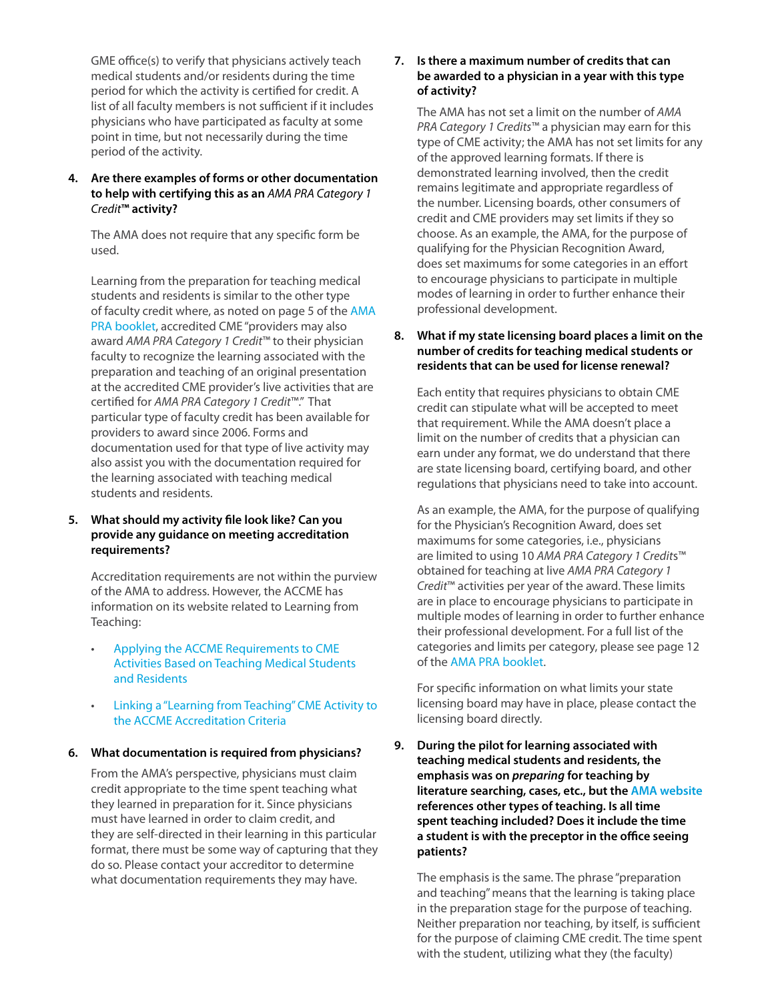GME office(s) to verify that physicians actively teach medical students and/or residents during the time period for which the activity is certified for credit. A list of all faculty members is not sufficient if it includes physicians who have participated as faculty at some point in time, but not necessarily during the time period of the activity.

**4. Are there examples of forms or other documentation to help with certifying this as an** *AMA PRA Category 1 Credit***™ activity?**

The AMA does not require that any specific form be used.

Learning from the preparation for teaching medical students and residents is similar to the other type of faculty credit where, as noted on page 5 of the [AMA](https://www.ama-assn.org/sites/ama-assn.org/files/corp/media-browser/public/cme/pra-booklet_0.pdf)  [PRA booklet](https://www.ama-assn.org/sites/ama-assn.org/files/corp/media-browser/public/cme/pra-booklet_0.pdf), accredited CME "providers may also award *AMA PRA Category 1 Credit*™ to their physician faculty to recognize the learning associated with the preparation and teaching of an original presentation at the accredited CME provider's live activities that are certified for *AMA PRA Category 1 Credit*™." That particular type of faculty credit has been available for providers to award since 2006. Forms and documentation used for that type of live activity may also assist you with the documentation required for the learning associated with teaching medical students and residents.

#### **5. What should my activity file look like? Can you provide any guidance on meeting accreditation requirements?**

 Accreditation requirements are not within the purview of the AMA to address. However, the ACCME has information on its website related to Learning from Teaching:

- [Applying the ACCME Requirements to CME](http://www.accme.org/sites/default/files/Learning_from_Teaching_Handout_0.pdf)   [Activities Based on Teaching Medical Students](http://www.accme.org/sites/default/files/Learning_from_Teaching_Handout_0.pdf)   [and Residents](http://www.accme.org/sites/default/files/Learning_from_Teaching_Handout_0.pdf)
- [Linking a "Learning from Teaching" CME Activity to](http://www.accme.org/sites/default/files/Learning%20from%20Teaching%20planning%20tool_2013_06_revision_1.pdf)   [the ACCME Accreditation Criteria](http://www.accme.org/sites/default/files/Learning%20from%20Teaching%20planning%20tool_2013_06_revision_1.pdf)

#### **6. What documentation is required from physicians?**

From the AMA's perspective, physicians must claim credit appropriate to the time spent teaching what they learned in preparation for it. Since physicians must have learned in order to claim credit, and they are self-directed in their learning in this particular format, there must be some way of capturing that they do so. Please contact your accreditor to determine what documentation requirements they may have.

# **7. Is there a maximum number of credits that can be awarded to a physician in a year with this type of activity?**

The AMA has not set a limit on the number of *AMA PRA Category 1 Credits*™ a physician may earn for this type of CME activity; the AMA has not set limits for any of the approved learning formats. If there is demonstrated learning involved, then the credit remains legitimate and appropriate regardless of the number. Licensing boards, other consumers of credit and CME providers may set limits if they so choose. As an example, the AMA, for the purpose of qualifying for the Physician Recognition Award, does set maximums for some categories in an effort to encourage physicians to participate in multiple modes of learning in order to further enhance their professional development.

# **8. What if my state licensing board places a limit on the number of credits for teaching medical students or residents that can be used for license renewal?**

Each entity that requires physicians to obtain CME credit can stipulate what will be accepted to meet that requirement. While the AMA doesn't place a limit on the number of credits that a physician can earn under any format, we do understand that there are state licensing board, certifying board, and other regulations that physicians need to take into account.

As an example, the AMA, for the purpose of qualifying for the Physician's Recognition Award, does set maximums for some categories, i.e., physicians are limited to using 10 *AMA PRA Category 1 Credit*s™ obtained for teaching at live *AMA PRA Category 1 Credit*™ activities per year of the award. These limits are in place to encourage physicians to participate in multiple modes of learning in order to further enhance their professional development. For a full list of the categories and limits per category, please see page 12 of the [AMA PRA booklet.](https://www.ama-assn.org/sites/ama-assn.org/files/corp/media-browser/public/cme/pra-booklet_0.pdf)

For specific information on what limits your state licensing board may have in place, please contact the licensing board directly.

**9. During the pilot for learning associated with teaching medical students and residents, the emphasis was on** *preparing* **for teaching by literature searching, cases, etc., but the [AMA website](https://www.ama-assn.org/education/cme/teaching-medical-students-residents) references other types of teaching. Is all time spent teaching included? Does it include the time a student is with the preceptor in the office seeing patients?**

The emphasis is the same. The phrase "preparation and teaching" means that the learning is taking place in the preparation stage for the purpose of teaching. Neither preparation nor teaching, by itself, is sufficient for the purpose of claiming CME credit. The time spent with the student, utilizing what they (the faculty)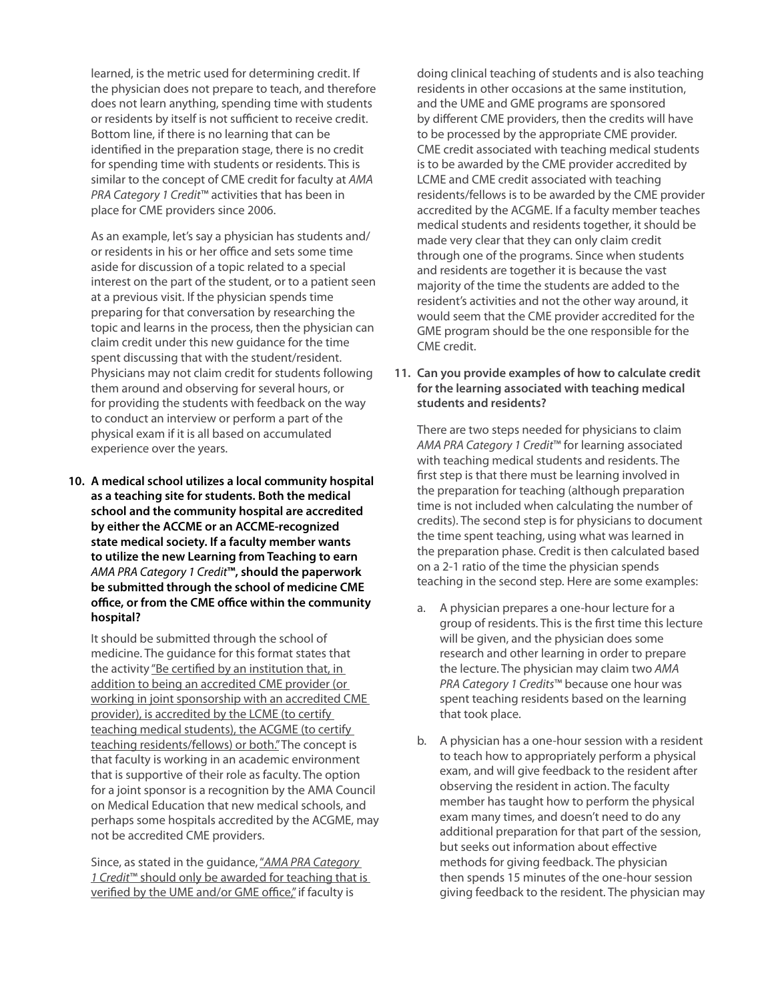learned, is the metric used for determining credit. If the physician does not prepare to teach, and therefore does not learn anything, spending time with students or residents by itself is not sufficient to receive credit. Bottom line, if there is no learning that can be identified in the preparation stage, there is no credit for spending time with students or residents. This is similar to the concept of CME credit for faculty at *AMA PRA Category 1 Credit*™ activities that has been in place for CME providers since 2006.

As an example, let's say a physician has students and/ or residents in his or her office and sets some time aside for discussion of a topic related to a special interest on the part of the student, or to a patient seen at a previous visit. If the physician spends time preparing for that conversation by researching the topic and learns in the process, then the physician can claim credit under this new guidance for the time spent discussing that with the student/resident. Physicians may not claim credit for students following them around and observing for several hours, or for providing the students with feedback on the way to conduct an interview or perform a part of the physical exam if it is all based on accumulated experience over the years.

**10. A medical school utilizes a local community hospital as a teaching site for students. Both the medical school and the community hospital are accredited by either the ACCME or an ACCME-recognized state medical society. If a faculty member wants to utilize the new Learning from Teaching to earn**  *AMA PRA Category 1 Credit***™, should the paperwork be submitted through the school of medicine CME office, or from the CME office within the community hospital?**

It should be submitted through the school of medicine. The guidance for this format states that the activity "Be certified by an institution that, in addition to being an accredited CME provider (or working in joint sponsorship with an accredited CME provider), is accredited by the LCME (to certify teaching medical students), the ACGME (to certify teaching residents/fellows) or both." The concept is that faculty is working in an academic environment that is supportive of their role as faculty. The option for a joint sponsor is a recognition by the AMA Council on Medical Education that new medical schools, and perhaps some hospitals accredited by the ACGME, may not be accredited CME providers.

Since, as stated in the guidance, "*AMA PRA Category 1 Credit*™ should only be awarded for teaching that is verified by the UME and/or GME office," if faculty is

doing clinical teaching of students and is also teaching residents in other occasions at the same institution, and the UME and GME programs are sponsored by different CME providers, then the credits will have to be processed by the appropriate CME provider. CME credit associated with teaching medical students is to be awarded by the CME provider accredited by LCME and CME credit associated with teaching residents/fellows is to be awarded by the CME provider accredited by the ACGME. If a faculty member teaches medical students and residents together, it should be made very clear that they can only claim credit through one of the programs. Since when students and residents are together it is because the vast majority of the time the students are added to the resident's activities and not the other way around, it would seem that the CME provider accredited for the GME program should be the one responsible for the CME credit.

## **11. Can you provide examples of how to calculate credit for the learning associated with teaching medical students and residents?**

There are two steps needed for physicians to claim *AMA PRA Category 1 Credit*™ for learning associated with teaching medical students and residents. The first step is that there must be learning involved in the preparation for teaching (although preparation time is not included when calculating the number of credits). The second step is for physicians to document the time spent teaching, using what was learned in the preparation phase. Credit is then calculated based on a 2-1 ratio of the time the physician spends teaching in the second step. Here are some examples:

- a. A physician prepares a one-hour lecture for a group of residents. This is the first time this lecture will be given, and the physician does some research and other learning in order to prepare the lecture. The physician may claim two *AMA PRA Category 1 Credits*™ because one hour was spent teaching residents based on the learning that took place.
- b. A physician has a one-hour session with a resident to teach how to appropriately perform a physical exam, and will give feedback to the resident after observing the resident in action. The faculty member has taught how to perform the physical exam many times, and doesn't need to do any additional preparation for that part of the session, but seeks out information about effective methods for giving feedback. The physician then spends 15 minutes of the one-hour session giving feedback to the resident. The physician may